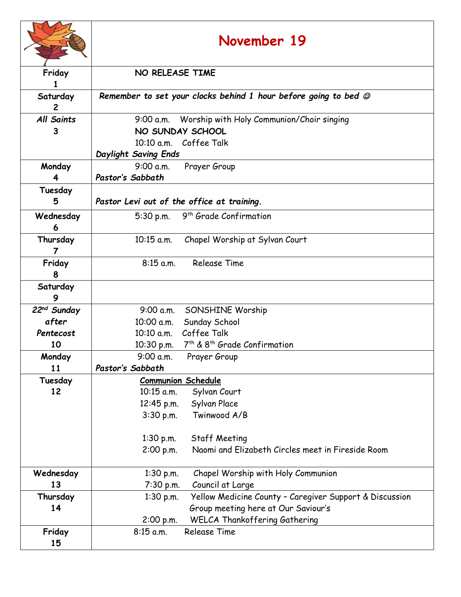|                            | November 19                                                                |  |
|----------------------------|----------------------------------------------------------------------------|--|
| Friday                     | NO RELEASE TIME                                                            |  |
|                            |                                                                            |  |
| Saturday<br>$\overline{2}$ | Remember to set your clocks behind 1 hour before going to bed $\mathcal O$ |  |
| <b>All Saints</b>          | Worship with Holy Communion/Choir singing<br>9:00 a.m.                     |  |
| 3                          | NO SUNDAY SCHOOL                                                           |  |
|                            | 10:10 a.m. Coffee Talk                                                     |  |
|                            | Daylight Saving Ends                                                       |  |
| Monday                     | 9:00 a.m.<br>Prayer Group                                                  |  |
| 4                          | Pastor's Sabbath                                                           |  |
| Tuesday<br>5               | Pastor Levi out of the office at training.                                 |  |
| Wednesday                  | 9 <sup>th</sup> Grade Confirmation<br>$5:30$ p.m.                          |  |
| 6                          |                                                                            |  |
| Thursday                   | $10:15$ a.m.<br>Chapel Worship at Sylvan Court                             |  |
| $\overline{7}$             |                                                                            |  |
| Friday                     | <b>Release Time</b><br>$8:15$ a.m.                                         |  |
| 8                          |                                                                            |  |
| Saturday                   |                                                                            |  |
| 9                          |                                                                            |  |
| 22 <sup>nd</sup> Sunday    | 9:00 a.m.<br><b>SONSHINE Worship</b>                                       |  |
| after                      | Sunday School<br>10:00 a.m.                                                |  |
| Pentecost                  | Coffee Talk<br>$10:10$ a.m.                                                |  |
| 10                         | 7 <sup>th</sup> & 8 <sup>th</sup> Grade Confirmation<br>10:30 p.m.         |  |
| Monday                     | 9:00 a.m.<br>Prayer Group                                                  |  |
| 11                         | Pastor's Sabbath                                                           |  |
| Tuesday                    | <b>Communion Schedule</b>                                                  |  |
| 12                         | 10:15 a.m.<br>Sylvan Court                                                 |  |
|                            | Sylvan Place<br>12:45 p.m.                                                 |  |
|                            | Twinwood A/B<br>3:30 p.m.                                                  |  |
|                            | $1:30$ p.m.<br><b>Staff Meeting</b>                                        |  |
|                            | Naomi and Elizabeth Circles meet in Fireside Room<br>2:00 p.m.             |  |
| Wednesday                  | Chapel Worship with Holy Communion<br>1:30 p.m.                            |  |
| 13                         | Council at Large<br>7:30 p.m.                                              |  |
| Thursday                   | Yellow Medicine County - Caregiver Support & Discussion<br>$1:30$ p.m.     |  |
| 14                         | Group meeting here at Our Saviour's                                        |  |
|                            | WELCA Thankoffering Gathering<br>2:00 p.m.                                 |  |
| Friday                     | <b>Release Time</b><br>$8:15$ a.m.                                         |  |
| 15                         |                                                                            |  |